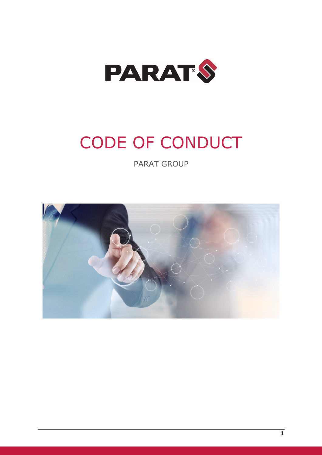

# CODE OF CONDUCT

PARAT GROUP

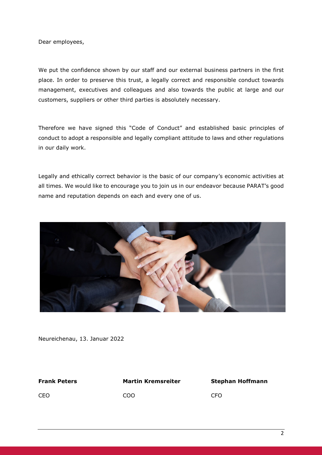Dear employees,

We put the confidence shown by our staff and our external business partners in the first place. In order to preserve this trust, a legally correct and responsible conduct towards management, executives and colleagues and also towards the public at large and our customers, suppliers or other third parties is absolutely necessary.

Therefore we have signed this "Code of Conduct" and established basic principles of conduct to adopt a responsible and legally compliant attitude to laws and other regulations in our daily work.

Legally and ethically correct behavior is the basic of our company's economic activities at all times. We would like to encourage you to join us in our endeavor because PARAT's good name and reputation depends on each and every one of us.



Neureichenau, 13. Januar 2022

#### **Frank Peters Martin Kremsreiter Stephan Hoffmann**

CEO COO CFO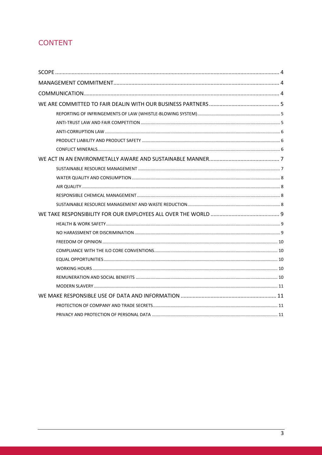### **CONTENT**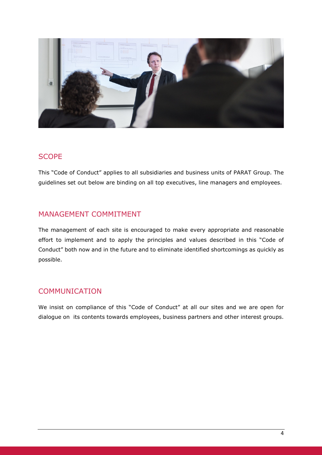

#### **SCOPE**

This "Code of Conduct" applies to all subsidiaries and business units of PARAT Group. The guidelines set out below are binding on all top executives, line managers and employees.

#### MANAGEMENT COMMITMENT

The management of each site is encouraged to make every appropriate and reasonable effort to implement and to apply the principles and values described in this "Code of Conduct" both now and in the future and to eliminate identified shortcomings as quickly as possible.

### **COMMUNICATION**

We insist on compliance of this "Code of Conduct" at all our sites and we are open for dialogue on its contents towards employees, business partners and other interest groups.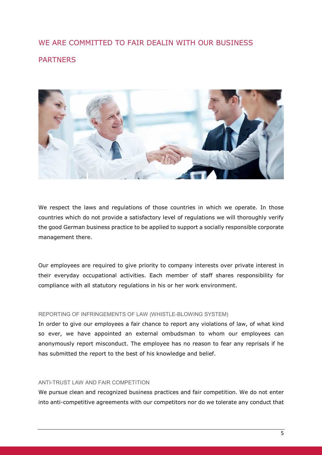### WE ARE COMMITTED TO FAIR DEALIN WITH OUR BUSINESS PARTNERS



We respect the laws and regulations of those countries in which we operate. In those countries which do not provide a satisfactory level of regulations we will thoroughly verify the good German business practice to be applied to support a socially responsible corporate management there.

Our employees are required to give priority to company interests over private interest in their everyday occupational activities. Each member of staff shares responsibility for compliance with all statutory regulations in his or her work environment.

#### REPORTING OF INFRINGEMENTS OF LAW (WHISTLE-BLOWING SYSTEM)

In order to give our employees a fair chance to report any violations of law, of what kind so ever, we have appointed an external ombudsman to whom our employees can anonymously report misconduct. The employee has no reason to fear any reprisals if he has submitted the report to the best of his knowledge and belief.

#### ANTI-TRUST LAW AND FAIR COMPETITION

We pursue clean and recognized business practices and fair competition. We do not enter into anti-competitive agreements with our competitors nor do we tolerate any conduct that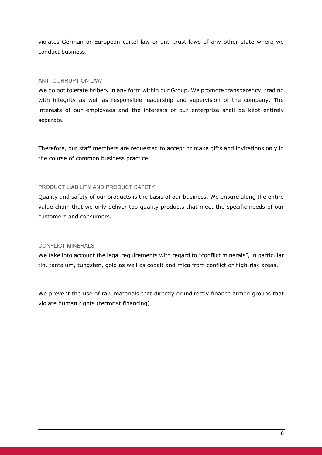violates German or European cartel law or anti-trust laws of any other state where we conduct business.

#### ANTI-CORRUPTION LAW

We do not tolerate bribery in any form within our Group. We promote transparency, trading with integrity as well as responsible leadership and supervision of the company. The interests of our employees and the interests of our enterprise shall be kept entirely separate.

Therefore, our staff members are requested to accept or make gifts and invitations only in the course of common business practice.

#### PRODUCT LIABILITY AND PRODUCT SAFETY

Quality and safety of our products is the basis of our business. We ensure along the entire value chain that we only deliver top quality products that meet the specific needs of our customers and consumers.

#### CONFLICT MINERALS

We take into account the legal requirements with regard to "conflict minerals", in particular tin, tantalum, tungsten, gold as well as cobalt and mica from conflict or high-risk areas.

We prevent the use of raw materials that directly or indirectly finance armed groups that violate human rights (terrorist financing).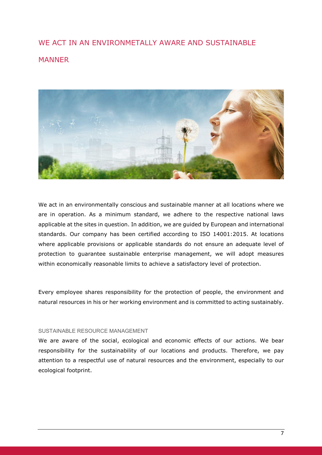### WE ACT IN AN ENVIRONMETALLY AWARE AND SUSTAINABLE **MANNER**



We act in an environmentally conscious and sustainable manner at all locations where we are in operation. As a minimum standard, we adhere to the respective national laws applicable at the sites in question. In addition, we are guided by European and international standards. Our company has been certified according to ISO 14001:2015. At locations where applicable provisions or applicable standards do not ensure an adequate level of protection to guarantee sustainable enterprise management, we will adopt measures within economically reasonable limits to achieve a satisfactory level of protection.

Every employee shares responsibility for the protection of people, the environment and natural resources in his or her working environment and is committed to acting sustainably.

#### SUSTAINABLE RESOURCE MANAGEMENT

We are aware of the social, ecological and economic effects of our actions. We bear responsibility for the sustainability of our locations and products. Therefore, we pay attention to a respectful use of natural resources and the environment, especially to our ecological footprint.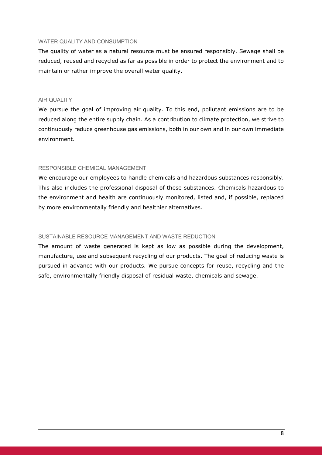#### WATER OUALITY AND CONSUMPTION

The quality of water as a natural resource must be ensured responsibly. Sewage shall be reduced, reused and recycled as far as possible in order to protect the environment and to maintain or rather improve the overall water quality.

#### AIR QUALITY

We pursue the goal of improving air quality. To this end, pollutant emissions are to be reduced along the entire supply chain. As a contribution to climate protection, we strive to continuously reduce greenhouse gas emissions, both in our own and in our own immediate environment.

#### RESPONSIBLE CHEMICAL MANAGEMENT

We encourage our employees to handle chemicals and hazardous substances responsibly. This also includes the professional disposal of these substances. Chemicals hazardous to the environment and health are continuously monitored, listed and, if possible, replaced by more environmentally friendly and healthier alternatives.

#### SUSTAINABLE RESOURCE MANAGEMENT AND WASTE REDUCTION

The amount of waste generated is kept as low as possible during the development, manufacture, use and subsequent recycling of our products. The goal of reducing waste is pursued in advance with our products. We pursue concepts for reuse, recycling and the safe, environmentally friendly disposal of residual waste, chemicals and sewage.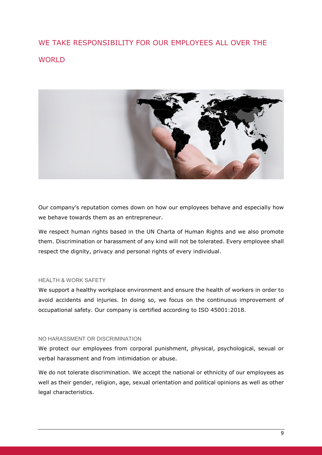## WE TAKE RESPONSIBILITY FOR OUR EMPLOYEES ALL OVER THE WORLD<sub></sub>



Our company's reputation comes down on how our employees behave and especially how we behave towards them as an entrepreneur.

We respect human rights based in the UN Charta of Human Rights and we also promote them. Discrimination or harassment of any kind will not be tolerated. Every employee shall respect the dignity, privacy and personal rights of every individual.

#### HEALTH & WORK SAFETY

We support a healthy workplace environment and ensure the health of workers in order to avoid accidents and injuries. In doing so, we focus on the continuous improvement of occupational safety. Our company is certified according to ISO 45001:2018.

#### NO HARASSMENT OR DISCRIMINATION

We protect our employees from corporal punishment, physical, psychological, sexual or verbal harassment and from intimidation or abuse.

We do not tolerate discrimination. We accept the national or ethnicity of our employees as well as their gender, religion, age, sexual orientation and political opinions as well as other legal characteristics.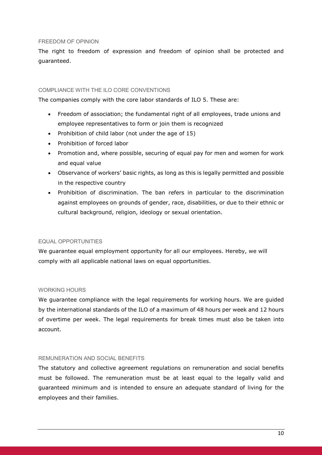#### FREEDOM OF OPINION

The right to freedom of expression and freedom of opinion shall be protected and guaranteed.

#### COMPLIANCE WITH THE ILO CORE CONVENTIONS

The companies comply with the core labor standards of ILO 5. These are:

- Freedom of association; the fundamental right of all employees, trade unions and employee representatives to form or join them is recognized
- Prohibition of child labor (not under the age of  $15$ )
- Prohibition of forced labor
- Promotion and, where possible, securing of equal pay for men and women for work and equal value
- Observance of workers' basic rights, as long as this is legally permitted and possible in the respective country
- Prohibition of discrimination. The ban refers in particular to the discrimination against employees on grounds of gender, race, disabilities, or due to their ethnic or cultural background, religion, ideology or sexual orientation.

#### EQUAL OPPORTUNITIES

We guarantee equal employment opportunity for all our employees. Hereby, we will comply with all applicable national laws on equal opportunities.

#### WORKING HOURS

We guarantee compliance with the legal requirements for working hours. We are guided by the international standards of the ILO of a maximum of 48 hours per week and 12 hours of overtime per week. The legal requirements for break times must also be taken into account.

#### REMUNERATION AND SOCIAL BENEFITS

The statutory and collective agreement regulations on remuneration and social benefits must be followed. The remuneration must be at least equal to the legally valid and guaranteed minimum and is intended to ensure an adequate standard of living for the employees and their families.